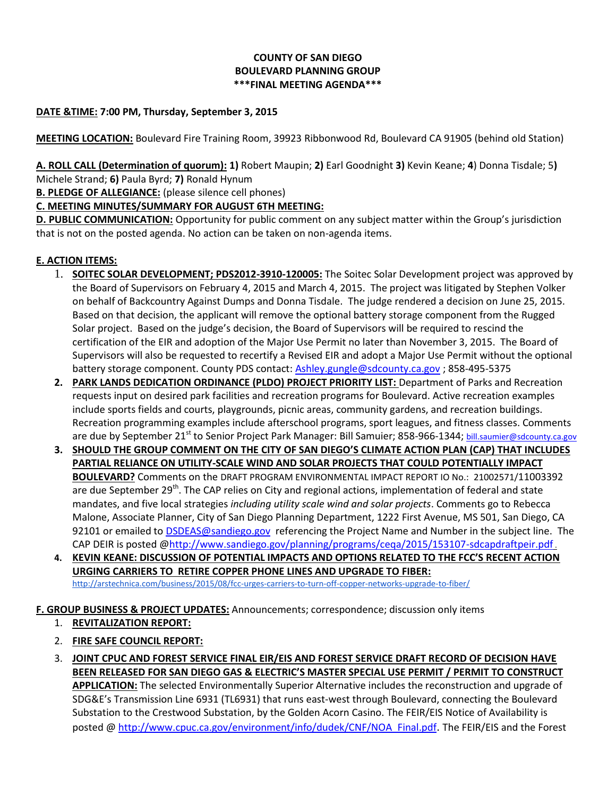# **COUNTY OF SAN DIEGO BOULEVARD PLANNING GROUP \*\*\*FINAL MEETING AGENDA\*\*\***

## **DATE &TIME: 7:00 PM, Thursday, September 3, 2015**

**MEETING LOCATION:** Boulevard Fire Training Room, 39923 Ribbonwood Rd, Boulevard CA 91905 (behind old Station)

**A. ROLL CALL (Determination of quorum): 1)** Robert Maupin; **2)** Earl Goodnight **3)** Kevin Keane; **4**) Donna Tisdale; 5**)**  Michele Strand; **6)** Paula Byrd; **7)** Ronald Hynum

**B. PLEDGE OF ALLEGIANCE:** (please silence cell phones)

## **C. MEETING MINUTES/SUMMARY FOR AUGUST 6TH MEETING:**

**D. PUBLIC COMMUNICATION:** Opportunity for public comment on any subject matter within the Group's jurisdiction that is not on the posted agenda. No action can be taken on non-agenda items.

# **E. ACTION ITEMS:**

- 1. **SOITEC SOLAR DEVELOPMENT; PDS2012-3910-120005:** The Soitec Solar Development project was approved by the Board of Supervisors on February 4, 2015 and March 4, 2015. The project was litigated by Stephen Volker on behalf of Backcountry Against Dumps and Donna Tisdale. The judge rendered a decision on June 25, 2015. Based on that decision, the applicant will remove the optional battery storage component from the Rugged Solar project. Based on the judge's decision, the Board of Supervisors will be required to rescind the certification of the EIR and adoption of the Major Use Permit no later than November 3, 2015. The Board of Supervisors will also be requested to recertify a Revised EIR and adopt a Major Use Permit without the optional battery storage component. County PDS contact[: Ashley.gungle@sdcounty.ca.gov](mailto:Ashley.gungle@sdcounty.ca.gov) ; 858-495-5375
- **2. PARK LANDS DEDICATION ORDINANCE (PLDO) PROJECT PRIORITY LIST:** Department of Parks and Recreation requests input on desired park facilities and recreation programs for Boulevard. Active recreation examples include sports fields and courts, playgrounds, picnic areas, community gardens, and recreation buildings. Recreation programming examples include afterschool programs, sport leagues, and fitness classes. Comments are due by September 21<sup>st</sup> to Senior Project Park Manager: Bill Samuier; 858-966-1344; [bill.saumier@sdcounty.ca.gov](mailto:bill.saumier@sdcounty.ca.gov)
- **3. SHOULD THE GROUP COMMENT ON THE CITY OF SAN DIEGO'S CLIMATE ACTION PLAN (CAP) THAT INCLUDES PARTIAL RELIANCE ON UTILITY-SCALE WIND AND SOLAR PROJECTS THAT COULD POTENTIALLY IMPACT BOULEVARD?** Comments on the DRAFT PROGRAM ENVIRONMENTAL IMPACT REPORT IO No.: 21002571/11003392 are due September 29<sup>th</sup>. The CAP relies on City and regional actions, implementation of federal and state mandates, and five local strategies *including utility scale wind and solar projects*. Comments go to Rebecca Malone, Associate Planner, City of San Diego Planning Department, 1222 First Avenue, MS 501, San Diego, CA 92101 or emailed to [DSDEAS@sandiego.gov](mailto:DSDEAS@sandiego.gov) referencing the Project Name and Number in the subject line. The CAP DEIR is posted [@http://www.sandiego.gov/planning/programs/ceqa/2015/153107-sdcapdraftpeir.pdf](http://www.sandiego.gov/planning/programs/ceqa/2015/153107-sdcapdraftpeir.pdf) .
- **4. KEVIN KEANE: DISCUSSION OF POTENTIAL IMPACTS AND OPTIONS RELATED TO THE FCC'S RECENT ACTION URGING CARRIERS TO RETIRE COPPER PHONE LINES AND UPGRADE TO FIBER:**

<http://arstechnica.com/business/2015/08/fcc-urges-carriers-to-turn-off-copper-networks-upgrade-to-fiber/>

**F. GROUP BUSINESS & PROJECT UPDATES:** Announcements; correspondence; discussion only items

- 1. **REVITALIZATION REPORT:**
- 2. **FIRE SAFE COUNCIL REPORT:**
- 3. **JOINT CPUC AND FOREST SERVICE FINAL EIR/EIS AND FOREST SERVICE DRAFT RECORD OF DECISION HAVE BEEN RELEASED FOR SAN DIEGO GAS & ELECTRIC'S MASTER SPECIAL USE PERMIT / PERMIT TO CONSTRUCT APPLICATION:** The selected Environmentally Superior Alternative includes the reconstruction and upgrade of SDG&E's Transmission Line 6931 (TL6931) that runs east-west through Boulevard, connecting the Boulevard Substation to the Crestwood Substation, by the Golden Acorn Casino. The FEIR/EIS Notice of Availability is posted [@ http://www.cpuc.ca.gov/environment/info/dudek/CNF/NOA\\_Final.pdf](http://www.cpuc.ca.gov/environment/info/dudek/CNF/NOA_Final.pdf). The FEIR/EIS and the Forest